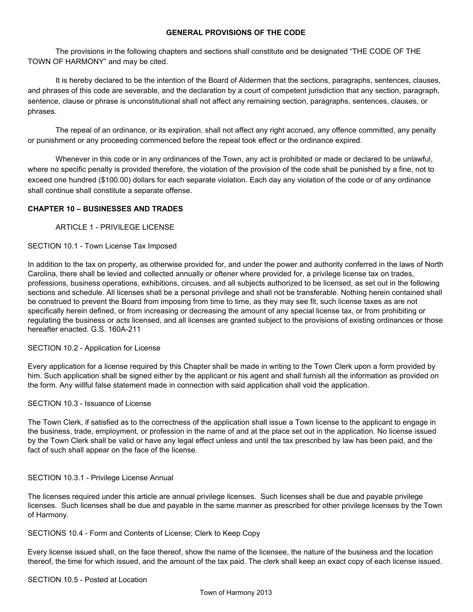# **GENERAL PROVISIONS OF THE CODE**

The provisions in the following chapters and sections shall constitute and be designated "THE CODE OF THE TOWN OF HARMONY" and may be cited.

It is hereby declared to be the intention of the Board of Aldermen that the sections, paragraphs, sentences, clauses, and phrases of this code are severable, and the declaration by a court of competent jurisdiction that any section, paragraph, sentence, clause or phrase is unconstitutional shall not affect any remaining section, paragraphs, sentences, clauses, or phrases.

The repeal of an ordinance, or its expiration, shall not affect any right accrued, any offence committed, any penalty or punishment or any proceeding commenced before the repeal took effect or the ordinance expired.

Whenever in this code or in any ordinances of the Town, any act is prohibited or made or declared to be unlawful, where no specific penalty is provided therefore, the violation of the provision of the code shall be punished by a fine, not to exceed one hundred (\$100.00) dollars for each separate violation. Each day any violation of the code or of any ordinance shall continue shall constitute a separate offense.

# **CHAPTER 10 – BUSINESSES AND TRADES**

ARTICLE 1 PRIVILEGE LICENSE

# SECTION 10.1 - Town License Tax Imposed

In addition to the tax on property, as otherwise provided for, and under the power and authority conferred in the laws of North Carolina, there shall be levied and collected annually or oftener where provided for, a privilege license tax on trades, professions, business operations, exhibitions, circuses, and all subjects authorized to be licensed, as set out in the following sections and schedule. All licenses shall be a personal privilege and shall not be transferable. Nothing herein contained shall be construed to prevent the Board from imposing from time to time, as they may see fit, such license taxes as are not specifically herein defined, or from increasing or decreasing the amount of any special license tax, or from prohibiting or regulating the business or acts licensed, and all licenses are granted subject to the provisions of existing ordinances or those hereafter enacted. G.S. 160A-211

### SECTION 10.2 - Application for License

Every application for a license required by this Chapter shall be made in writing to the Town Clerk upon a form provided by him. Such application shall be signed either by the applicant or his agent and shall furnish all the information as provided on the form. Any willful false statement made in connection with said application shall void the application.

### SECTION 10.3 - Issuance of License

The Town Clerk, if satisfied as to the correctness of the application shall issue a Town license to the applicant to engage in the business, trade, employment, or profession in the name of and at the place set out in the application. No license issued by the Town Clerk shall be valid or have any legal effect unless and until the tax prescribed by law has been paid, and the fact of such shall appear on the face of the license.

### SECTION 10.3.1 - Privilege License Annual

The licenses required under this article are annual privilege licenses. Such licenses shall be due and payable privilege licenses. Such licenses shall be due and payable in the same manner as prescribed for other privilege licenses by the Town of Harmony.

## SECTIONS 10.4 Form and Contents of License; Clerk to Keep Copy

Every license issued shall, on the face thereof, show the name of the licensee, the nature of the business and the location thereof, the time for which issued, and the amount of the tax paid. The clerk shall keep an exact copy of each license issued.

### SECTION 10.5 - Posted at Location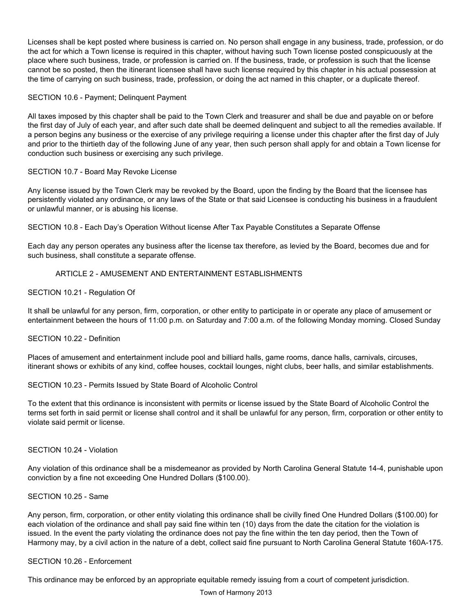Licenses shall be kept posted where business is carried on. No person shall engage in any business, trade, profession, or do the act for which a Town license is required in this chapter, without having such Town license posted conspicuously at the place where such business, trade, or profession is carried on. If the business, trade, or profession is such that the license cannot be so posted, then the itinerant licensee shall have such license required by this chapter in his actual possession at the time of carrying on such business, trade, profession, or doing the act named in this chapter, or a duplicate thereof.

## SECTION 10.6 - Payment; Delinquent Payment

All taxes imposed by this chapter shall be paid to the Town Clerk and treasurer and shall be due and payable on or before the first day of July of each year, and after such date shall be deemed delinquent and subject to all the remedies available. If a person begins any business or the exercise of any privilege requiring a license under this chapter after the first day of July and prior to the thirtieth day of the following June of any year, then such person shall apply for and obtain a Town license for conduction such business or exercising any such privilege.

### SECTION 10.7 - Board May Revoke License

Any license issued by the Town Clerk may be revoked by the Board, upon the finding by the Board that the licensee has persistently violated any ordinance, or any laws of the State or that said Licensee is conducting his business in a fraudulent or unlawful manner, or is abusing his license.

SECTION 10.8 Each Day's Operation Without license After Tax Payable Constitutes a Separate Offense

Each day any person operates any business after the license tax therefore, as levied by the Board, becomes due and for such business, shall constitute a separate offense.

# ARTICLE 2 - AMUSEMENT AND ENTERTAINMENT ESTABLISHMENTS

SECTION 10.21 - Regulation Of

It shall be unlawful for any person, firm, corporation, or other entity to participate in or operate any place of amusement or entertainment between the hours of 11:00 p.m. on Saturday and 7:00 a.m. of the following Monday morning. Closed Sunday

### SECTION 10.22 - Definition

Places of amusement and entertainment include pool and billiard halls, game rooms, dance halls, carnivals, circuses, itinerant shows or exhibits of any kind, coffee houses, cocktail lounges, night clubs, beer halls, and similar establishments.

### SECTION 10.23 - Permits Issued by State Board of Alcoholic Control

To the extent that this ordinance is inconsistent with permits or license issued by the State Board of Alcoholic Control the terms set forth in said permit or license shall control and it shall be unlawful for any person, firm, corporation or other entity to violate said permit or license.

### SECTION 10.24 - Violation

Any violation of this ordinance shall be a misdemeanor as provided by North Carolina General Statute 144, punishable upon conviction by a fine not exceeding One Hundred Dollars (\$100.00).

### SECTION 10.25 - Same

Any person, firm, corporation, or other entity violating this ordinance shall be civilly fined One Hundred Dollars (\$100.00) for each violation of the ordinance and shall pay said fine within ten (10) days from the date the citation for the violation is issued. In the event the party violating the ordinance does not pay the fine within the ten day period, then the Town of Harmony may, by a civil action in the nature of a debt, collect said fine pursuant to North Carolina General Statute 160A-175.

### SECTION 10.26 - Enforcement

This ordinance may be enforced by an appropriate equitable remedy issuing from a court of competent jurisdiction.

#### Town of Harmony 2013